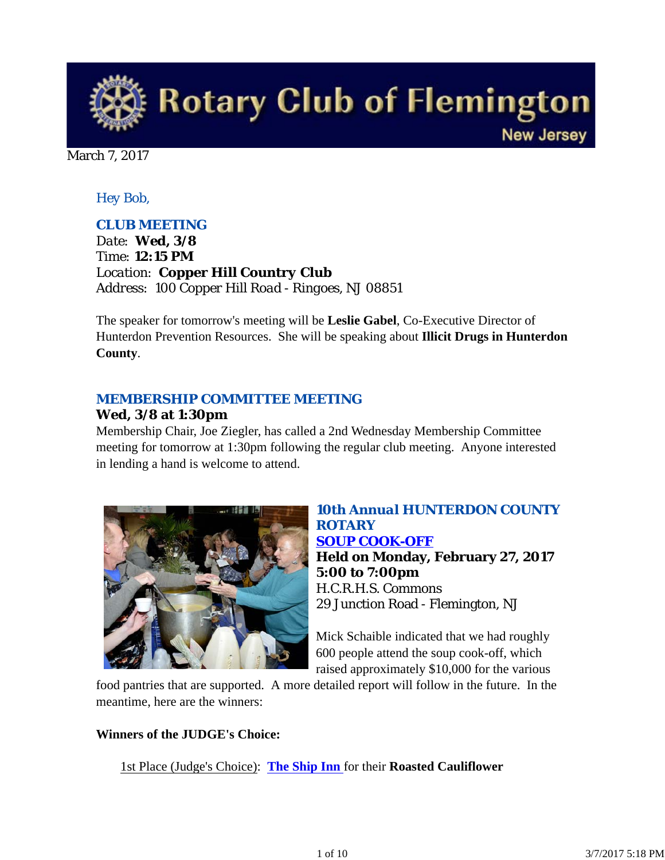

March 7, 2017

## *Hey Bob,*

#### *CLUB MEETING*

*Date: Wed, 3/8 Time: 12:15 PM Location: Copper Hill Country Club Address: 100 Copper Hill Road - Ringoes, NJ 08851*

The speaker for tomorrow's meeting will be **Leslie Gabel**, Co-Executive Director of Hunterdon Prevention Resources. She will be speaking about **Illicit Drugs in Hunterdon County**.

#### *MEMBERSHIP COMMITTEE MEETING*

#### **Wed, 3/8 at 1:30pm**

Membership Chair, Joe Ziegler, has called a 2nd Wednesday Membership Committee meeting for tomorrow at 1:30pm following the regular club meeting. Anyone interested in lending a hand is welcome to attend.



#### *10th Annual HUNTERDON COUNTY ROTARY SOUP COOK-OFF*

**Held on Monday, February 27, 2017 5:00 to 7:00pm** H.C.R.H.S. Commons 29 Junction Road - Flemington, NJ

Mick Schaible indicated that we had roughly 600 people attend the soup cook-off, which raised approximately \$10,000 for the various

food pantries that are supported. A more detailed report will follow in the future. In the meantime, here are the winners:

#### **Winners of the JUDGE's Choice:**

1st Place (Judge's Choice): **The Ship Inn** for their **Roasted Cauliflower**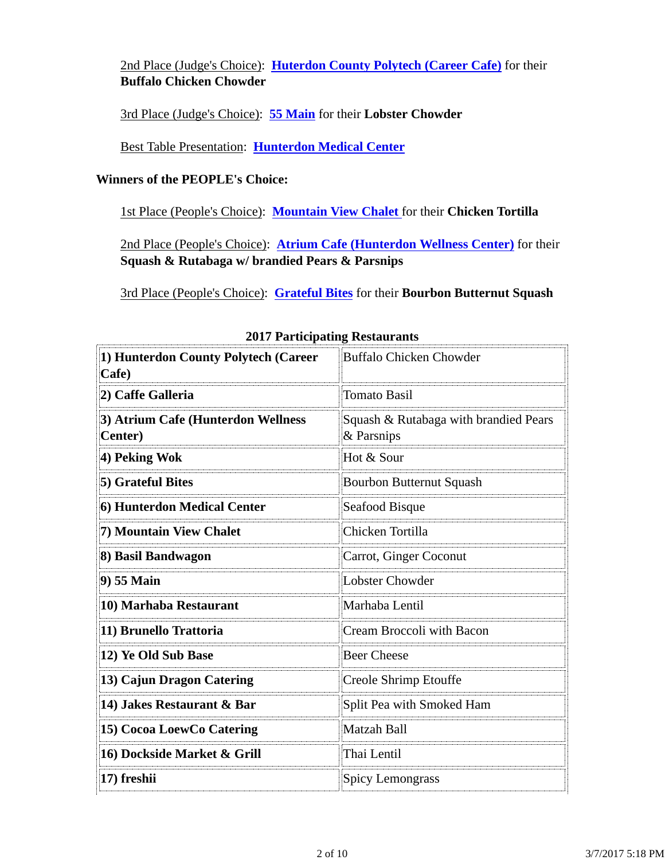2nd Place (Judge's Choice): **Huterdon County Polytech (Career Cafe)** for their **Buffalo Chicken Chowder**

3rd Place (Judge's Choice): **55 Main** for their **Lobster Chowder** 

Best Table Presentation: **Hunterdon Medical Center**

#### **Winners of the PEOPLE's Choice:**

1st Place (People's Choice): **Mountain View Chalet** for their **Chicken Tortilla** 

2nd Place (People's Choice): **Atrium Cafe (Hunterdon Wellness Center)** for their **Squash & Rutabaga w/ brandied Pears & Parsnips** 

3rd Place (People's Choice): **Grateful Bites** for their **Bourbon Butternut Squash**

| 1) Hunterdon County Polytech (Career<br>Cafe)         | Buffalo Chicken Chowder                             |  |
|-------------------------------------------------------|-----------------------------------------------------|--|
| 2) Caffe Galleria                                     | <b>Tomato Basil</b>                                 |  |
| 3) Atrium Cafe (Hunterdon Wellness<br><b>Center</b> ) | Squash & Rutabaga with brandied Pears<br>& Parsnips |  |
| 4) Peking Wok                                         | Hot & Sour                                          |  |
| 5) Grateful Bites                                     | Bourbon Butternut Squash                            |  |
| 6) Hunterdon Medical Center                           | Seafood Bisque                                      |  |
| 7) Mountain View Chalet                               | Chicken Tortilla                                    |  |
| 8) Basil Bandwagon                                    | Carrot, Ginger Coconut                              |  |
| 9) 55 Main                                            | Lobster Chowder                                     |  |
| 10) Marhaba Restaurant                                | Marhaba Lentil                                      |  |
| 11) Brunello Trattoria                                | Cream Broccoli with Bacon                           |  |
| 12) Ye Old Sub Base                                   | <b>Beer Cheese</b>                                  |  |
| 13) Cajun Dragon Catering                             | Creole Shrimp Etouffe                               |  |
| 14) Jakes Restaurant & Bar                            | Split Pea with Smoked Ham                           |  |
| 15) Cocoa LoewCo Catering                             | Matzah Ball                                         |  |
| 16) Dockside Market & Grill                           | Thai Lentil                                         |  |
| 17) freshii                                           | <b>Spicy Lemongrass</b>                             |  |

#### **2017 Participating Restaurants**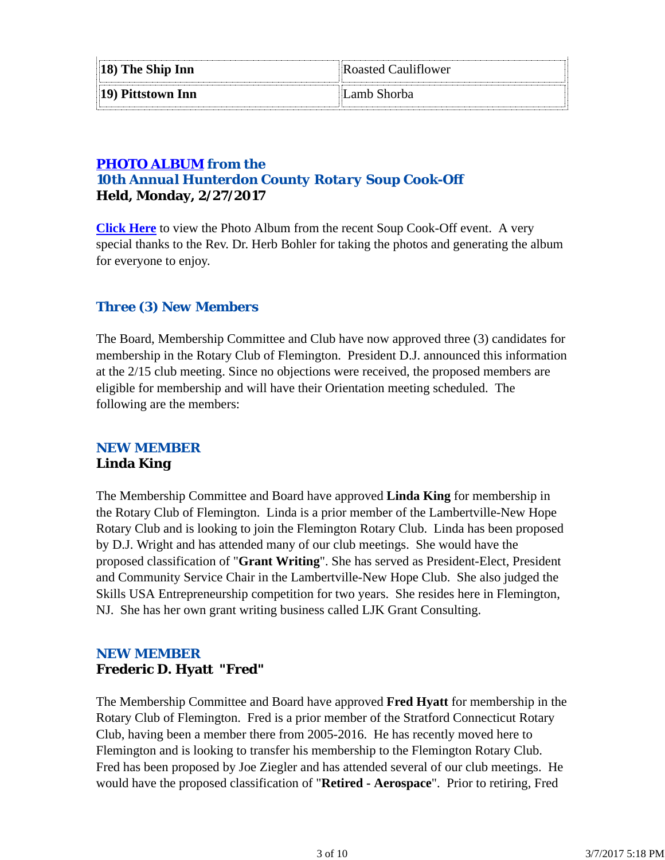| $\parallel$ 18) The Ship Inn | Roasted Cauliflower |
|------------------------------|---------------------|
| $  19\rangle$ Pittstown Inn  | Lamb Shorba         |

## *PHOTO ALBUM from the 10th Annual Hunterdon County Rotary Soup Cook-Off* **Held, Monday, 2/27/2017**

**Click Here** to view the Photo Album from the recent Soup Cook-Off event. A very special thanks to the Rev. Dr. Herb Bohler for taking the photos and generating the album for everyone to enjoy.

## *Three (3) New Members*

The Board, Membership Committee and Club have now approved three (3) candidates for membership in the Rotary Club of Flemington. President D.J. announced this information at the 2/15 club meeting. Since no objections were received, the proposed members are eligible for membership and will have their Orientation meeting scheduled. The following are the members:

#### *NEW MEMBER* **Linda King**

The Membership Committee and Board have approved **Linda King** for membership in the Rotary Club of Flemington. Linda is a prior member of the Lambertville-New Hope Rotary Club and is looking to join the Flemington Rotary Club. Linda has been proposed by D.J. Wright and has attended many of our club meetings. She would have the proposed classification of "**Grant Writing**". She has served as President-Elect, President and Community Service Chair in the Lambertville-New Hope Club. She also judged the Skills USA Entrepreneurship competition for two years. She resides here in Flemington, NJ. She has her own grant writing business called LJK Grant Consulting.

## *NEW MEMBER* **Frederic D. Hyatt "Fred"**

The Membership Committee and Board have approved **Fred Hyatt** for membership in the Rotary Club of Flemington. Fred is a prior member of the Stratford Connecticut Rotary Club, having been a member there from 2005-2016. He has recently moved here to Flemington and is looking to transfer his membership to the Flemington Rotary Club. Fred has been proposed by Joe Ziegler and has attended several of our club meetings. He would have the proposed classification of "**Retired - Aerospace**". Prior to retiring, Fred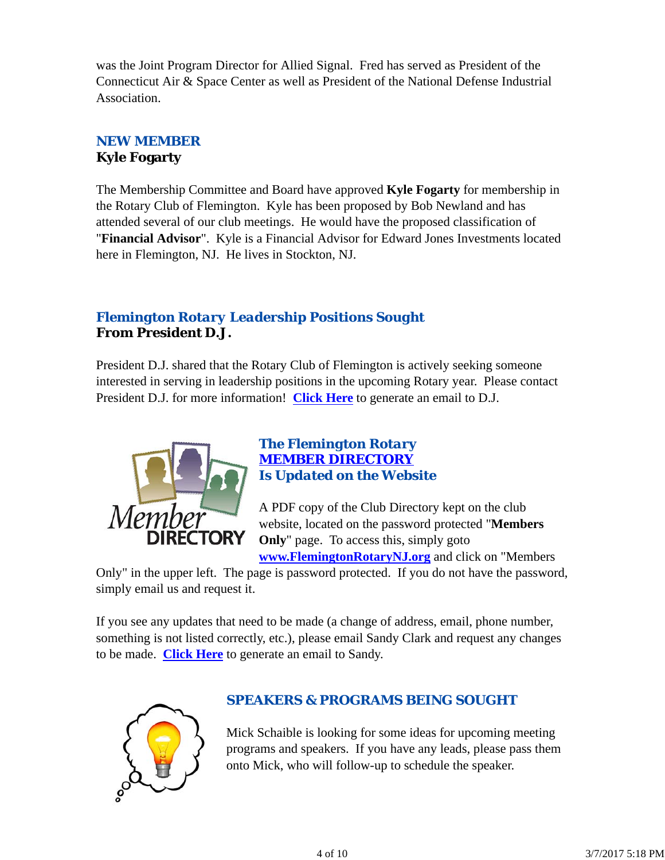was the Joint Program Director for Allied Signal. Fred has served as President of the Connecticut Air & Space Center as well as President of the National Defense Industrial Association.

## *NEW MEMBER* **Kyle Fogarty**

The Membership Committee and Board have approved **Kyle Fogarty** for membership in the Rotary Club of Flemington. Kyle has been proposed by Bob Newland and has attended several of our club meetings. He would have the proposed classification of "**Financial Advisor**". Kyle is a Financial Advisor for Edward Jones Investments located here in Flemington, NJ. He lives in Stockton, NJ.

## *Flemington Rotary Leadership Positions Sought* **From President D.J.**

President D.J. shared that the Rotary Club of Flemington is actively seeking someone interested in serving in leadership positions in the upcoming Rotary year. Please contact President D.J. for more information! **Click Here** to generate an email to D.J.



#### *The Flemington Rotary MEMBER DIRECTORY Is Updated on the Website*

A PDF copy of the Club Directory kept on the club website, located on the password protected "**Members Only**" page. To access this, simply goto **www.FlemingtonRotaryNJ.org** and click on "Members

Only" in the upper left. The page is password protected. If you do not have the password, simply email us and request it.

If you see any updates that need to be made (a change of address, email, phone number, something is not listed correctly, etc.), please email Sandy Clark and request any changes to be made. **Click Here** to generate an email to Sandy.



## *SPEAKERS & PROGRAMS BEING SOUGHT*

Mick Schaible is looking for some ideas for upcoming meeting programs and speakers. If you have any leads, please pass them onto Mick, who will follow-up to schedule the speaker.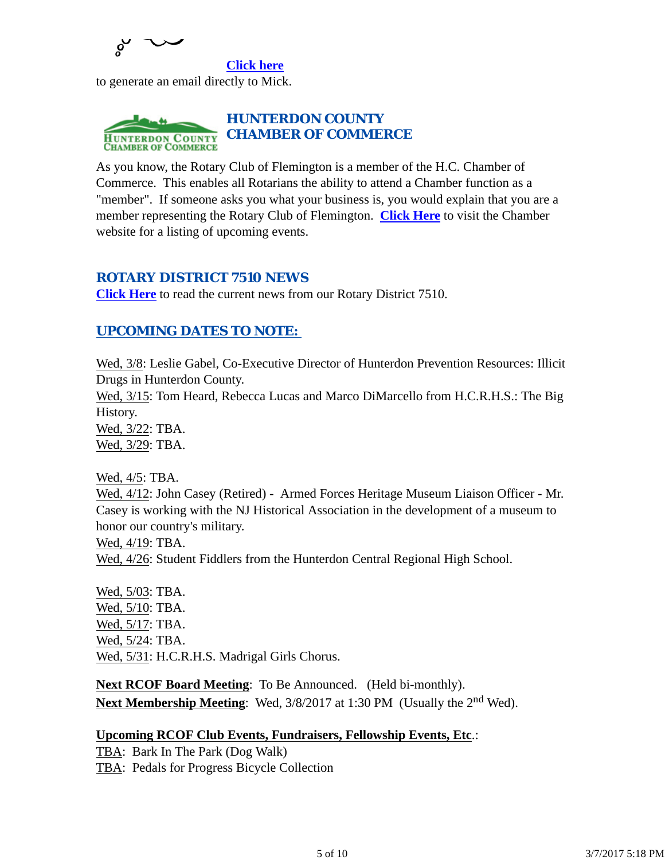

**Click here** to generate an email directly to Mick.



As you know, the Rotary Club of Flemington is a member of the H.C. Chamber of Commerce. This enables all Rotarians the ability to attend a Chamber function as a "member". If someone asks you what your business is, you would explain that you are a member representing the Rotary Club of Flemington. **Click Here** to visit the Chamber website for a listing of upcoming events.

#### *ROTARY DISTRICT 7510 NEWS*

**Click Here** to read the current news from our Rotary District 7510.

## *UPCOMING DATES TO NOTE:*

Wed, 3/8: Leslie Gabel, Co-Executive Director of Hunterdon Prevention Resources: Illicit Drugs in Hunterdon County.

Wed, 3/15: Tom Heard, Rebecca Lucas and Marco DiMarcello from H.C.R.H.S.: The Big History.

Wed, 3/22: TBA.

Wed, 3/29: TBA.

Wed, 4/5: TBA.

Wed, 4/12: John Casey (Retired) - Armed Forces Heritage Museum Liaison Officer - Mr. Casey is working with the NJ Historical Association in the development of a museum to honor our country's military.

Wed, 4/19: TBA.

Wed, 4/26: Student Fiddlers from the Hunterdon Central Regional High School.

Wed, 5/03: TBA. Wed, 5/10: TBA. Wed, 5/17: TBA. Wed, 5/24: TBA. Wed, 5/31: H.C.R.H.S. Madrigal Girls Chorus.

**Next RCOF Board Meeting**: To Be Announced. (Held bi-monthly). **Next Membership Meeting**: Wed, 3/8/2017 at 1:30 PM (Usually the 2<sup>nd</sup> Wed).

#### **Upcoming RCOF Club Events, Fundraisers, Fellowship Events, Etc**.:

TBA: Bark In The Park (Dog Walk) TBA: Pedals for Progress Bicycle Collection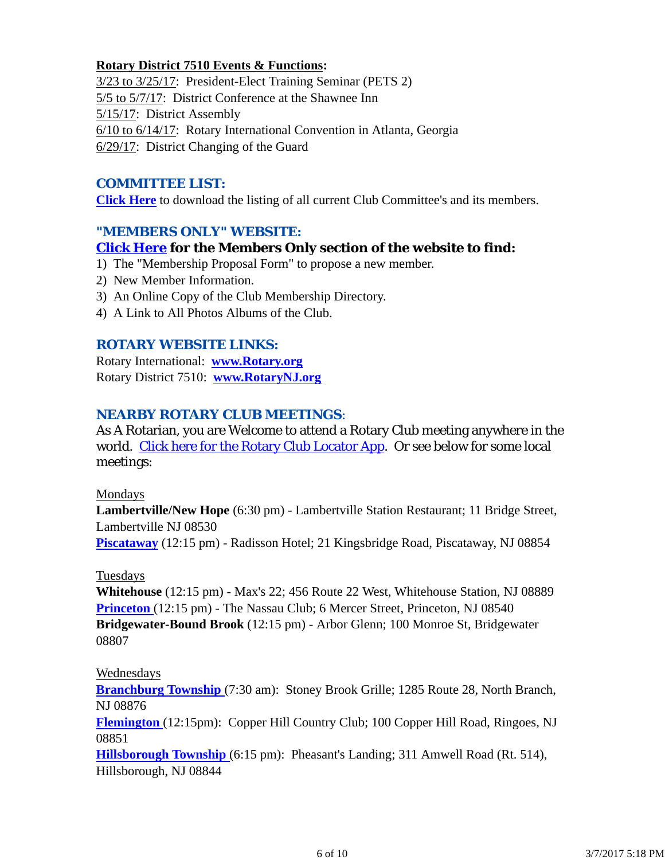#### **Rotary District 7510 Events & Functions:**

3/23 to 3/25/17: President-Elect Training Seminar (PETS 2) 5/5 to 5/7/17: District Conference at the Shawnee Inn 5/15/17: District Assembly 6/10 to 6/14/17: Rotary International Convention in Atlanta, Georgia 6/29/17: District Changing of the Guard

#### *COMMITTEE LIST:*

**Click Here** to download the listing of all current Club Committee's and its members.

## *"MEMBERS ONLY" WEBSITE:*

#### **Click Here for the Members Only section of the website to find:**

- 1) The "Membership Proposal Form" to propose a new member.
- 2) New Member Information.
- 3) An Online Copy of the Club Membership Directory.
- 4) A Link to All Photos Albums of the Club.

#### *ROTARY WEBSITE LINKS:*

Rotary International: **www.Rotary.org** Rotary District 7510: **www.RotaryNJ.org**

#### *NEARBY ROTARY CLUB MEETINGS:*

As A Rotarian, you are Welcome to attend a Rotary Club meeting anywhere in the world. Click here for the Rotary Club Locator App. Or see below for some local meetings:

#### Mondays

**Lambertville/New Hope** (6:30 pm) - Lambertville Station Restaurant; 11 Bridge Street, Lambertville NJ 08530 **Piscataway** (12:15 pm) - Radisson Hotel; 21 Kingsbridge Road, Piscataway, NJ 08854

#### Tuesdays

**Whitehouse** (12:15 pm) - Max's 22; 456 Route 22 West, Whitehouse Station, NJ 08889 **Princeton** (12:15 pm) - The Nassau Club; 6 Mercer Street, Princeton, NJ 08540 **Bridgewater-Bound Brook** (12:15 pm) - Arbor Glenn; 100 Monroe St, Bridgewater 08807

#### Wednesdays

**Branchburg Township** (7:30 am): Stoney Brook Grille; 1285 Route 28, North Branch, NJ 08876

**Flemington** (12:15pm): Copper Hill Country Club; 100 Copper Hill Road, Ringoes, NJ 08851

**Hillsborough Township** (6:15 pm): Pheasant's Landing; 311 Amwell Road (Rt. 514), Hillsborough, NJ 08844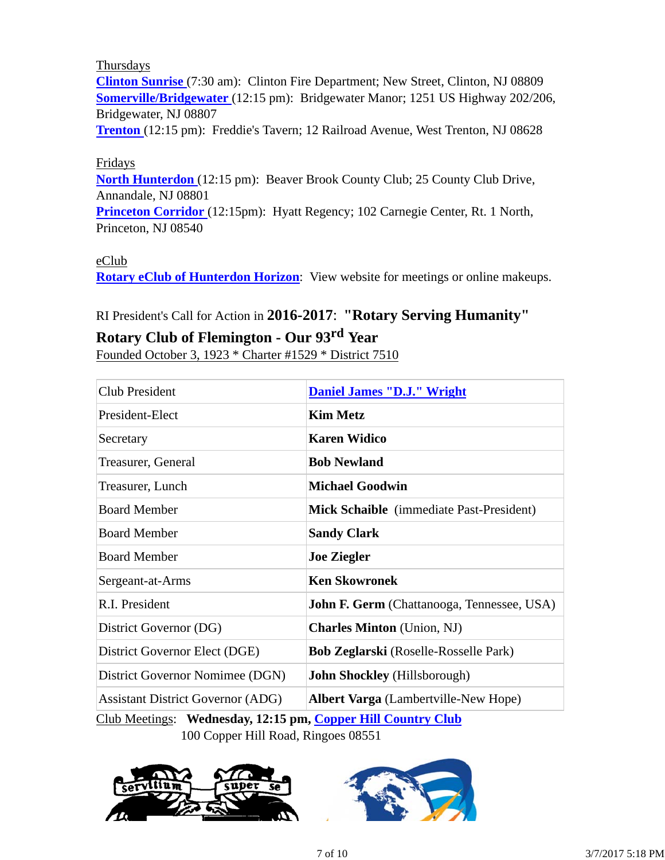Thursdays

**Clinton Sunrise** (7:30 am): Clinton Fire Department; New Street, Clinton, NJ 08809 **Somerville/Bridgewater** (12:15 pm): Bridgewater Manor; 1251 US Highway 202/206, Bridgewater, NJ 08807

**Trenton** (12:15 pm): Freddie's Tavern; 12 Railroad Avenue, West Trenton, NJ 08628

#### Fridays

**North Hunterdon** (12:15 pm): Beaver Brook County Club; 25 County Club Drive, Annandale, NJ 08801

**Princeton Corridor** (12:15pm): Hyatt Regency; 102 Carnegie Center, Rt. 1 North, Princeton, NJ 08540

#### eClub

**Rotary eClub of Hunterdon Horizon**: View website for meetings or online makeups.

# RI President's Call for Action in **2016-2017**: **"Rotary Serving Humanity" Rotary Club of Flemington - Our 93rd Year**

Founded October 3, 1923 \* Charter #1529 \* District 7510

| Club President                           | <b>Daniel James "D.J." Wright</b>                 |  |
|------------------------------------------|---------------------------------------------------|--|
| President-Elect                          | <b>Kim Metz</b>                                   |  |
| Secretary                                | <b>Karen Widico</b>                               |  |
| Treasurer, General                       | <b>Bob Newland</b>                                |  |
| Treasurer, Lunch                         | <b>Michael Goodwin</b>                            |  |
| <b>Board Member</b>                      | Mick Schaible (immediate Past-President)          |  |
| <b>Board Member</b>                      | <b>Sandy Clark</b>                                |  |
| <b>Board Member</b>                      | <b>Joe Ziegler</b>                                |  |
| Sergeant-at-Arms                         | <b>Ken Skowronek</b>                              |  |
| R.I. President                           | <b>John F. Germ</b> (Chattanooga, Tennessee, USA) |  |
| District Governor (DG)                   | <b>Charles Minton</b> (Union, NJ)                 |  |
| District Governor Elect (DGE)            | <b>Bob Zeglarski</b> (Roselle-Rosselle Park)      |  |
| District Governor Nomimee (DGN)          | <b>John Shockley</b> (Hillsborough)               |  |
| <b>Assistant District Governor (ADG)</b> | <b>Albert Varga</b> (Lambertville-New Hope)       |  |

Club Meetings: **Wednesday, 12:15 pm, Copper Hill Country Club** 100 Copper Hill Road, Ringoes 08551

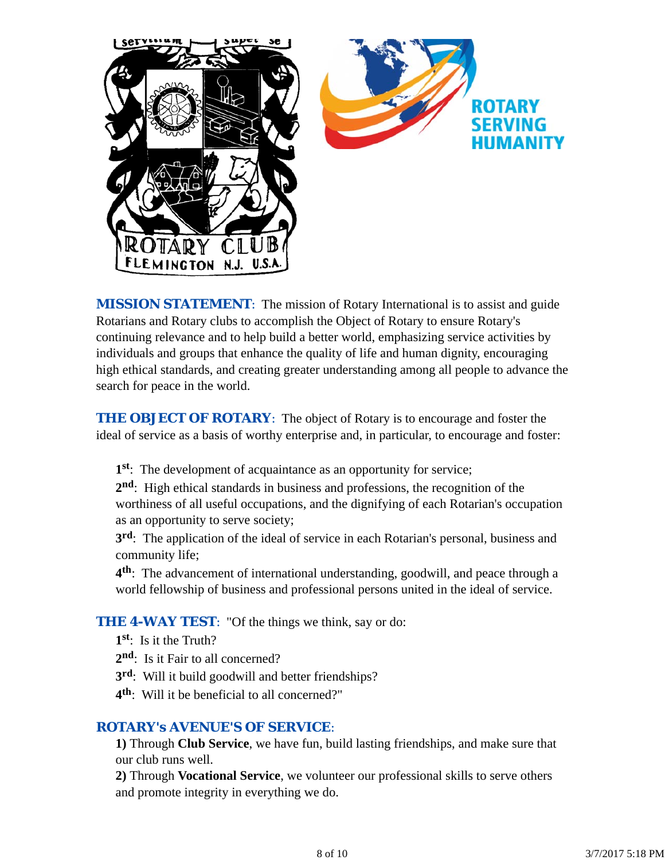

*MISSION STATEMENT*: The mission of Rotary International is to assist and guide Rotarians and Rotary clubs to accomplish the Object of Rotary to ensure Rotary's continuing relevance and to help build a better world, emphasizing service activities by individuals and groups that enhance the quality of life and human dignity, encouraging high ethical standards, and creating greater understanding among all people to advance the search for peace in the world.

**THE OBJECT OF ROTARY:** The object of Rotary is to encourage and foster the ideal of service as a basis of worthy enterprise and, in particular, to encourage and foster:

**1st**: The development of acquaintance as an opportunity for service;

**2nd**: High ethical standards in business and professions, the recognition of the worthiness of all useful occupations, and the dignifying of each Rotarian's occupation as an opportunity to serve society;

**3rd**: The application of the ideal of service in each Rotarian's personal, business and community life;

**4th**: The advancement of international understanding, goodwill, and peace through a world fellowship of business and professional persons united in the ideal of service.

**THE 4-WAY TEST:** "Of the things we think, say or do:

- **1st**: Is it the Truth?
- 2<sup>nd</sup>: Is it Fair to all concerned?
- **3rd**: Will it build goodwill and better friendships?
- **4th**: Will it be beneficial to all concerned?"

#### *ROTARY's AVENUE'S OF SERVICE*:

**1)** Through **Club Service**, we have fun, build lasting friendships, and make sure that our club runs well.

**2)** Through **Vocational Service**, we volunteer our professional skills to serve others and promote integrity in everything we do.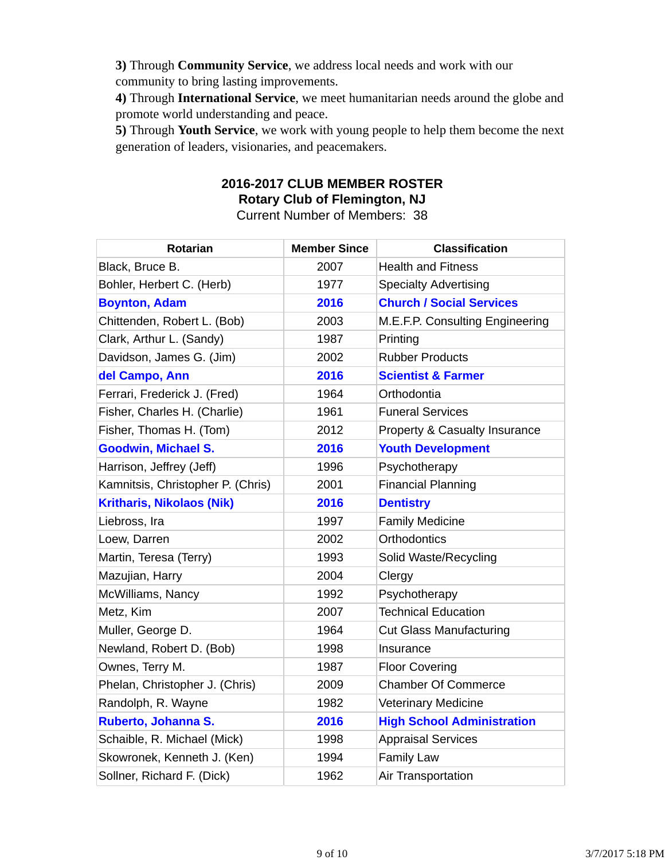**3)** Through **Community Service**, we address local needs and work with our community to bring lasting improvements.

**4)** Through **International Service**, we meet humanitarian needs around the globe and promote world understanding and peace.

**5)** Through **Youth Service**, we work with young people to help them become the next generation of leaders, visionaries, and peacemakers.

## **2016-2017 CLUB MEMBER ROSTER Rotary Club of Flemington, NJ**

Current Number of Members: 38

| <b>Rotarian</b>                   | <b>Member Since</b> | <b>Classification</b>                    |
|-----------------------------------|---------------------|------------------------------------------|
| Black, Bruce B.                   | 2007                | <b>Health and Fitness</b>                |
| Bohler, Herbert C. (Herb)         | 1977                | <b>Specialty Advertising</b>             |
| <b>Boynton, Adam</b>              | 2016                | <b>Church / Social Services</b>          |
| Chittenden, Robert L. (Bob)       | 2003                | M.E.F.P. Consulting Engineering          |
| Clark, Arthur L. (Sandy)          | 1987                | Printing                                 |
| Davidson, James G. (Jim)          | 2002                | <b>Rubber Products</b>                   |
| del Campo, Ann                    | 2016                | <b>Scientist &amp; Farmer</b>            |
| Ferrari, Frederick J. (Fred)      | 1964                | Orthodontia                              |
| Fisher, Charles H. (Charlie)      | 1961                | <b>Funeral Services</b>                  |
| Fisher, Thomas H. (Tom)           | 2012                | <b>Property &amp; Casualty Insurance</b> |
| <b>Goodwin, Michael S.</b>        | 2016                | <b>Youth Development</b>                 |
| Harrison, Jeffrey (Jeff)          | 1996                | Psychotherapy                            |
| Kamnitsis, Christopher P. (Chris) | 2001                | <b>Financial Planning</b>                |
| <b>Kritharis, Nikolaos (Nik)</b>  | 2016                | <b>Dentistry</b>                         |
| Liebross, Ira                     | 1997                | <b>Family Medicine</b>                   |
| Loew, Darren                      | 2002                | <b>Orthodontics</b>                      |
| Martin, Teresa (Terry)            | 1993                | Solid Waste/Recycling                    |
| Mazujian, Harry                   | 2004                | Clergy                                   |
| McWilliams, Nancy                 | 1992                | Psychotherapy                            |
| Metz, Kim                         | 2007                | <b>Technical Education</b>               |
| Muller, George D.                 | 1964                | <b>Cut Glass Manufacturing</b>           |
| Newland, Robert D. (Bob)          | 1998                | Insurance                                |
| Ownes, Terry M.                   | 1987                | <b>Floor Covering</b>                    |
| Phelan, Christopher J. (Chris)    | 2009                | <b>Chamber Of Commerce</b>               |
| Randolph, R. Wayne                | 1982                | <b>Veterinary Medicine</b>               |
| Ruberto, Johanna S.               | 2016                | <b>High School Administration</b>        |
| Schaible, R. Michael (Mick)       | 1998                | <b>Appraisal Services</b>                |
| Skowronek, Kenneth J. (Ken)       | 1994                | <b>Family Law</b>                        |
| Sollner, Richard F. (Dick)        | 1962                | <b>Air Transportation</b>                |